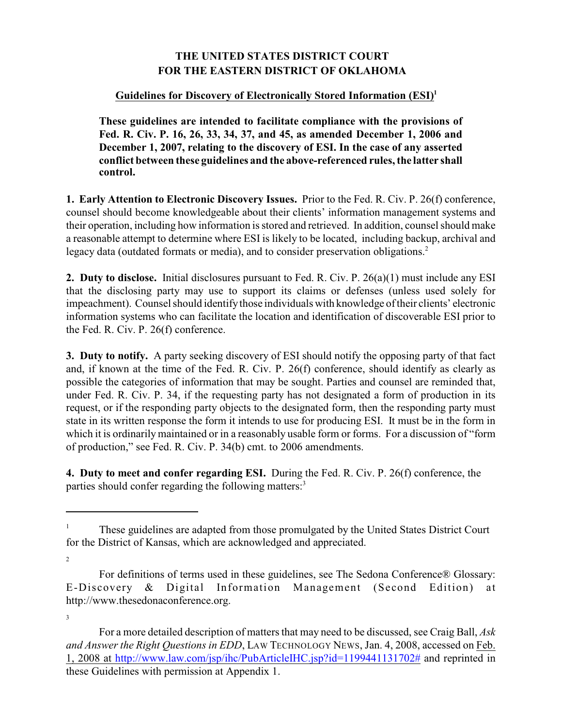## **THE UNITED STATES DISTRICT COURT FOR THE EASTERN DISTRICT OF OKLAHOMA**

## **Guidelines for Discovery of Electronically Stored Information (ESI) 1**

**These guidelines are intended to facilitate compliance with the provisions of Fed. R. Civ. P. 16, 26, 33, 34, 37, and 45, as amended December 1, 2006 and December 1, 2007, relating to the discovery of ESI. In the case of any asserted conflict between these guidelines and the above-referenced rules, the latter shall control.**

**1. Early Attention to Electronic Discovery Issues.** Prior to the Fed. R. Civ. P. 26(f) conference, counsel should become knowledgeable about their clients' information management systems and their operation, including how information is stored and retrieved. In addition, counsel should make a reasonable attempt to determine where ESI is likely to be located, including backup, archival and legacy data (outdated formats or media), and to consider preservation obligations.<sup>2</sup>

**2. Duty to disclose.** Initial disclosures pursuant to Fed. R. Civ. P. 26(a)(1) must include any ESI that the disclosing party may use to support its claims or defenses (unless used solely for impeachment). Counsel should identify those individuals with knowledge of their clients' electronic information systems who can facilitate the location and identification of discoverable ESI prior to the Fed. R. Civ. P. 26(f) conference.

**3. Duty to notify.** A party seeking discovery of ESI should notify the opposing party of that fact and, if known at the time of the Fed. R. Civ. P. 26(f) conference, should identify as clearly as possible the categories of information that may be sought. Parties and counsel are reminded that, under Fed. R. Civ. P. 34, if the requesting party has not designated a form of production in its request, or if the responding party objects to the designated form, then the responding party must state in its written response the form it intends to use for producing ESI. It must be in the form in which it is ordinarily maintained or in a reasonably usable form or forms. For a discussion of "form of production," see Fed. R. Civ. P. 34(b) cmt. to 2006 amendments.

**4. Duty to meet and confer regarding ESI.** During the Fed. R. Civ. P. 26(f) conference, the parties should confer regarding the following matters:<sup>3</sup>

These guidelines are adapted from those promulgated by the United States District Court <sup>1</sup> for the District of Kansas, which are acknowledged and appreciated.

<sup>2</sup>

For definitions of terms used in these guidelines, see The Sedona Conference® Glossary: E-Discovery & Digital Information Management (Second Edition) at http://www.thesedonaconference.org.

<sup>3</sup>

For a more detailed description of matters that may need to be discussed, see Craig Ball, *Ask and Answer the Right Questions in EDD*, LAW TECHNOLOGY NEWS, Jan. 4, 2008, accessed on Feb. 1, 2008 at http://www.law.com/jsp/ihc/PubArticleIHC.jsp?id=1199441131702# and reprinted in these Guidelines with permission at Appendix 1.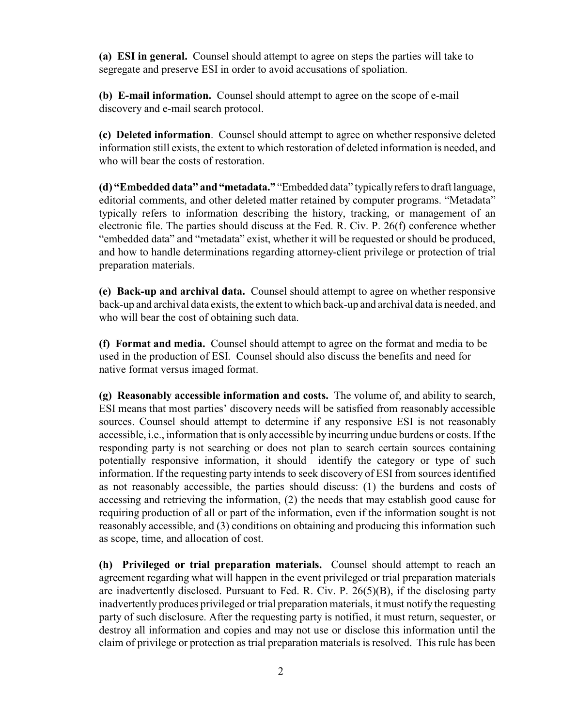**(a) ESI in general.** Counsel should attempt to agree on steps the parties will take to segregate and preserve ESI in order to avoid accusations of spoliation.

**(b) E-mail information.** Counsel should attempt to agree on the scope of e-mail discovery and e-mail search protocol.

**(c) Deleted information**. Counsel should attempt to agree on whether responsive deleted information still exists, the extent to which restoration of deleted information is needed, and who will bear the costs of restoration.

**(d) "Embedded data" and "metadata."** "Embedded data" typically refers to draft language, editorial comments, and other deleted matter retained by computer programs. "Metadata" typically refers to information describing the history, tracking, or management of an electronic file. The parties should discuss at the Fed. R. Civ. P. 26(f) conference whether "embedded data" and "metadata" exist, whether it will be requested or should be produced, and how to handle determinations regarding attorney-client privilege or protection of trial preparation materials.

**(e) Back-up and archival data.** Counsel should attempt to agree on whether responsive back-up and archival data exists, the extent to which back-up and archival data is needed, and who will bear the cost of obtaining such data.

**(f) Format and media.** Counsel should attempt to agree on the format and media to be used in the production of ESI. Counsel should also discuss the benefits and need for native format versus imaged format.

**(g) Reasonably accessible information and costs.** The volume of, and ability to search, ESI means that most parties' discovery needs will be satisfied from reasonably accessible sources. Counsel should attempt to determine if any responsive ESI is not reasonably accessible, i.e., information that is only accessible by incurring undue burdens or costs. If the responding party is not searching or does not plan to search certain sources containing potentially responsive information, it should identify the category or type of such information. If the requesting party intends to seek discovery of ESI from sources identified as not reasonably accessible, the parties should discuss: (1) the burdens and costs of accessing and retrieving the information, (2) the needs that may establish good cause for requiring production of all or part of the information, even if the information sought is not reasonably accessible, and (3) conditions on obtaining and producing this information such as scope, time, and allocation of cost.

**(h) Privileged or trial preparation materials.** Counsel should attempt to reach an agreement regarding what will happen in the event privileged or trial preparation materials are inadvertently disclosed. Pursuant to Fed. R. Civ. P. 26(5)(B), if the disclosing party inadvertently produces privileged or trial preparation materials, it must notify the requesting party of such disclosure. After the requesting party is notified, it must return, sequester, or destroy all information and copies and may not use or disclose this information until the claim of privilege or protection as trial preparation materials is resolved. This rule has been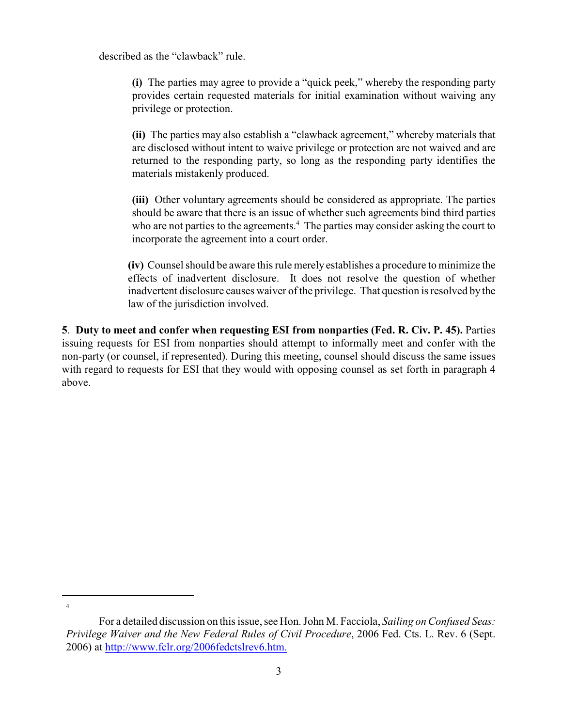described as the "clawback" rule.

**(i)** The parties may agree to provide a "quick peek," whereby the responding party provides certain requested materials for initial examination without waiving any privilege or protection.

**(ii)** The parties may also establish a "clawback agreement," whereby materials that are disclosed without intent to waive privilege or protection are not waived and are returned to the responding party, so long as the responding party identifies the materials mistakenly produced.

**(iii)** Other voluntary agreements should be considered as appropriate. The parties should be aware that there is an issue of whether such agreements bind third parties who are not parties to the agreements.<sup>4</sup> The parties may consider asking the court to incorporate the agreement into a court order.

**(iv)** Counsel should be aware this rule merely establishes a procedure to minimize the effects of inadvertent disclosure. It does not resolve the question of whether inadvertent disclosure causes waiver of the privilege. That question is resolved by the law of the jurisdiction involved.

**5**. **Duty to meet and confer when requesting ESI from nonparties (Fed. R. Civ. P. 45).** Parties issuing requests for ESI from nonparties should attempt to informally meet and confer with the non-party (or counsel, if represented). During this meeting, counsel should discuss the same issues with regard to requests for ESI that they would with opposing counsel as set forth in paragraph 4 above.

<sup>4</sup>

For a detailed discussion on this issue, see Hon. John M. Facciola, *Sailing on Confused Seas: Privilege Waiver and the New Federal Rules of Civil Procedure*, 2006 Fed. Cts. L. Rev. 6 (Sept. 2006) at http://www.fclr.org/2006fedctslrev6.htm.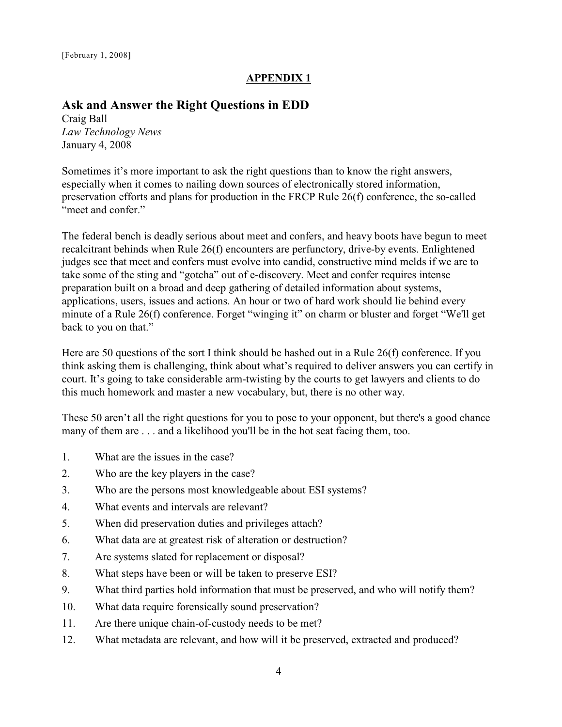## **APPENDIX 1**

## **Ask and Answer the Right Questions in EDD**

Craig Ball *Law Technology News*  January 4, 2008

Sometimes it's more important to ask the right questions than to know the right answers, especially when it comes to nailing down sources of electronically stored information, preservation efforts and plans for production in the FRCP Rule 26(f) conference, the so-called "meet and confer."

The federal bench is deadly serious about meet and confers, and heavy boots have begun to meet recalcitrant behinds when Rule 26(f) encounters are perfunctory, drive-by events. Enlightened judges see that meet and confers must evolve into candid, constructive mind melds if we are to take some of the sting and "gotcha" out of e-discovery. Meet and confer requires intense preparation built on a broad and deep gathering of detailed information about systems, applications, users, issues and actions. An hour or two of hard work should lie behind every minute of a Rule 26(f) conference. Forget "winging it" on charm or bluster and forget "We'll get back to you on that."

Here are 50 questions of the sort I think should be hashed out in a Rule 26(f) conference. If you think asking them is challenging, think about what's required to deliver answers you can certify in court. It's going to take considerable arm-twisting by the courts to get lawyers and clients to do this much homework and master a new vocabulary, but, there is no other way.

These 50 aren't all the right questions for you to pose to your opponent, but there's a good chance many of them are . . . and a likelihood you'll be in the hot seat facing them, too.

- 1. What are the issues in the case?
- 2. Who are the key players in the case?
- 3. Who are the persons most knowledgeable about ESI systems?
- 4. What events and intervals are relevant?
- 5. When did preservation duties and privileges attach?
- 6. What data are at greatest risk of alteration or destruction?
- 7. Are systems slated for replacement or disposal?
- 8. What steps have been or will be taken to preserve ESI?
- 9. What third parties hold information that must be preserved, and who will notify them?
- 10. What data require forensically sound preservation?
- 11. Are there unique chain-of-custody needs to be met?
- 12. What metadata are relevant, and how will it be preserved, extracted and produced?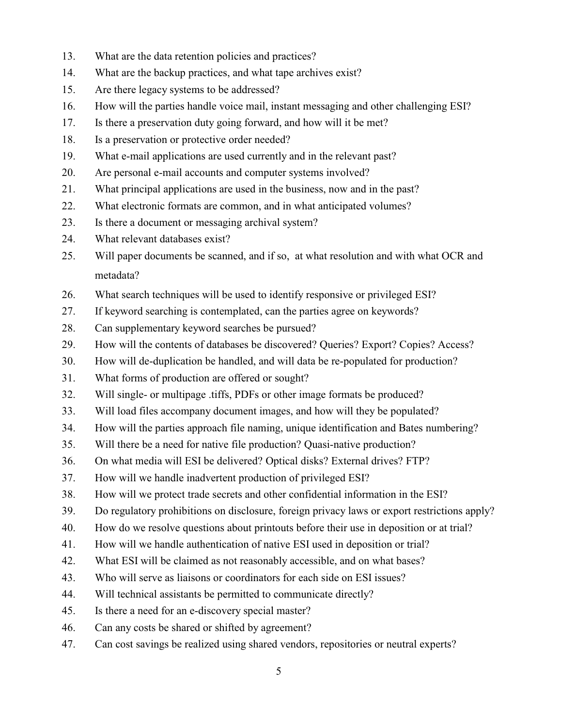- 13. What are the data retention policies and practices?
- 14. What are the backup practices, and what tape archives exist?
- 15. Are there legacy systems to be addressed?
- 16. How will the parties handle voice mail, instant messaging and other challenging ESI?
- 17. Is there a preservation duty going forward, and how will it be met?
- 18. Is a preservation or protective order needed?
- 19. What e-mail applications are used currently and in the relevant past?
- 20. Are personal e-mail accounts and computer systems involved?
- 21. What principal applications are used in the business, now and in the past?
- 22. What electronic formats are common, and in what anticipated volumes?
- 23. Is there a document or messaging archival system?
- 24. What relevant databases exist?
- 25. Will paper documents be scanned, and if so, at what resolution and with what OCR and metadata?
- 26. What search techniques will be used to identify responsive or privileged ESI?
- 27. If keyword searching is contemplated, can the parties agree on keywords?
- 28. Can supplementary keyword searches be pursued?
- 29. How will the contents of databases be discovered? Queries? Export? Copies? Access?
- 30. How will de-duplication be handled, and will data be re-populated for production?
- 31. What forms of production are offered or sought?
- 32. Will single- or multipage .tiffs, PDFs or other image formats be produced?
- 33. Will load files accompany document images, and how will they be populated?
- 34. How will the parties approach file naming, unique identification and Bates numbering?
- 35. Will there be a need for native file production? Quasi-native production?
- 36. On what media will ESI be delivered? Optical disks? External drives? FTP?
- 37. How will we handle inadvertent production of privileged ESI?
- 38. How will we protect trade secrets and other confidential information in the ESI?
- 39. Do regulatory prohibitions on disclosure, foreign privacy laws or export restrictions apply?
- 40. How do we resolve questions about printouts before their use in deposition or at trial?
- 41. How will we handle authentication of native ESI used in deposition or trial?
- 42. What ESI will be claimed as not reasonably accessible, and on what bases?
- 43. Who will serve as liaisons or coordinators for each side on ESI issues?
- 44. Will technical assistants be permitted to communicate directly?
- 45. Is there a need for an e-discovery special master?
- 46. Can any costs be shared or shifted by agreement?
- 47. Can cost savings be realized using shared vendors, repositories or neutral experts?